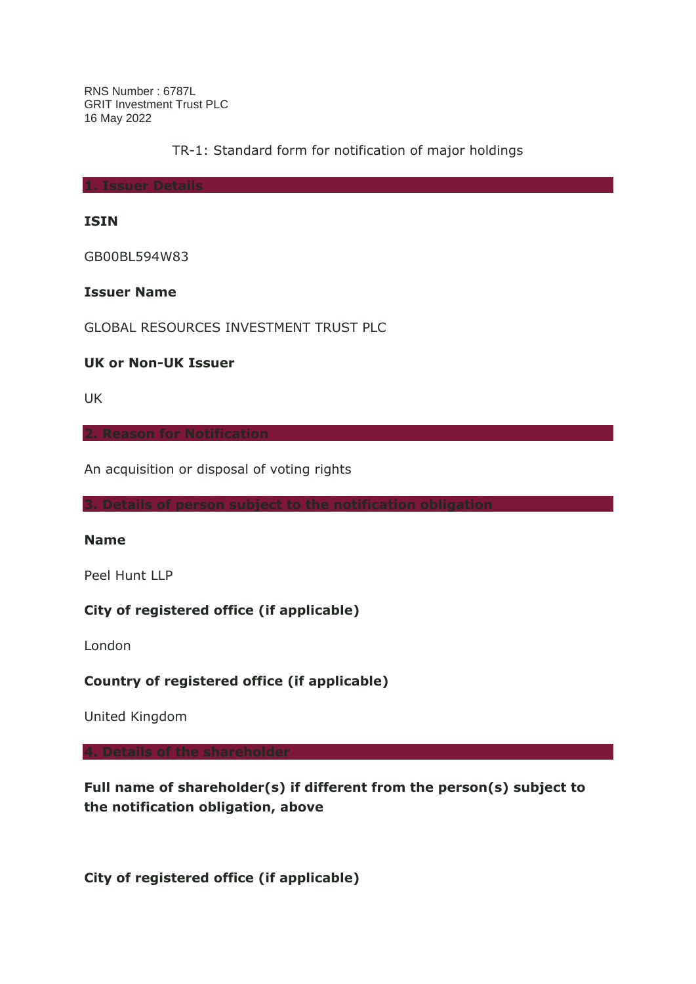RNS Number : 6787L GRIT Investment Trust PLC 16 May 2022

TR-1: Standard form for notification of major holdings

**1. Issuer Details**

#### **ISIN**

GB00BL594W83

### **Issuer Name**

GLOBAL RESOURCES INVESTMENT TRUST PLC

#### **UK or Non-UK Issuer**

UK

An acquisition or disposal of voting rights

#### **Name**

Peel Hunt LLP

## **City of registered office (if applicable)**

London

**Country of registered office (if applicable)**

United Kingdom

**4. Details of the shareholder**

**Full name of shareholder(s) if different from the person(s) subject to the notification obligation, above**

**City of registered office (if applicable)**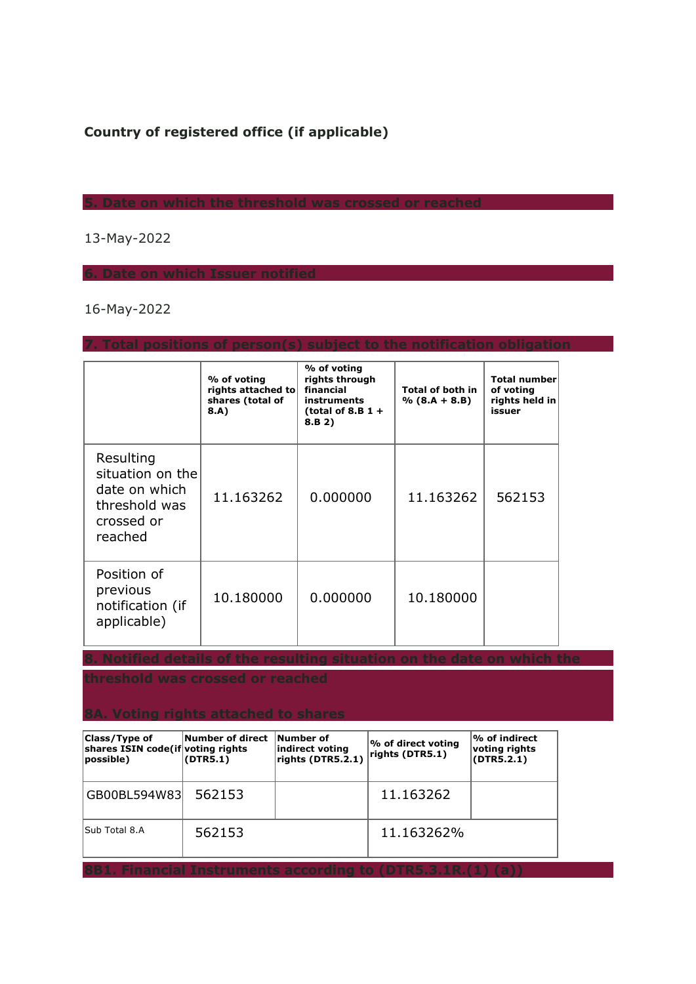# **Country of registered office (if applicable)**

## 13-May-2022

**6. Date on which Issuer notified**

## 16-May-2022

|                                                                                          | % of voting<br>rights attached to<br>shares (total of<br>8.A) | % of voting<br>rights through<br>financial<br>instruments<br>(total of 8.B $1 +$<br>8.B 2) | <b>Total of both in</b><br>$% (8.A + 8.B)$ | <b>Total number</b><br>of voting<br>rights held in<br>issuer |
|------------------------------------------------------------------------------------------|---------------------------------------------------------------|--------------------------------------------------------------------------------------------|--------------------------------------------|--------------------------------------------------------------|
| Resulting<br>situation on the<br>date on which<br>threshold was<br>crossed or<br>reached | 11.163262                                                     | 0.000000                                                                                   | 11.163262                                  | 562153                                                       |
| Position of<br>previous<br>notification (if<br>applicable)                               | 10.180000                                                     | 0.000000                                                                                   | 10.180000                                  |                                                              |

**7. Total positions of person(s) subject to the notification obligation**

**threshold was crossed or reached**

| Class/Type of<br>shares ISIN code(if voting rights<br>possible)    | Number of direct<br>(DTR5.1) | <b>Number of</b><br>indirect voting<br>rights (DTR5.2.1) | <b>% of direct voting</b><br>rights (DTR5.1) | $\mathsf{P\!o}$ of indirect<br>voting rights<br>(DTR5.2.1) |  |
|--------------------------------------------------------------------|------------------------------|----------------------------------------------------------|----------------------------------------------|------------------------------------------------------------|--|
| GB00BL594W83                                                       | 562153                       |                                                          | 11.163262                                    |                                                            |  |
| lSub Total 8.A                                                     | 562153                       |                                                          | 11.163262%                                   |                                                            |  |
| <b>8B1. Financial Instruments according to (DTR5.3.1R.(1) (a))</b> |                              |                                                          |                                              |                                                            |  |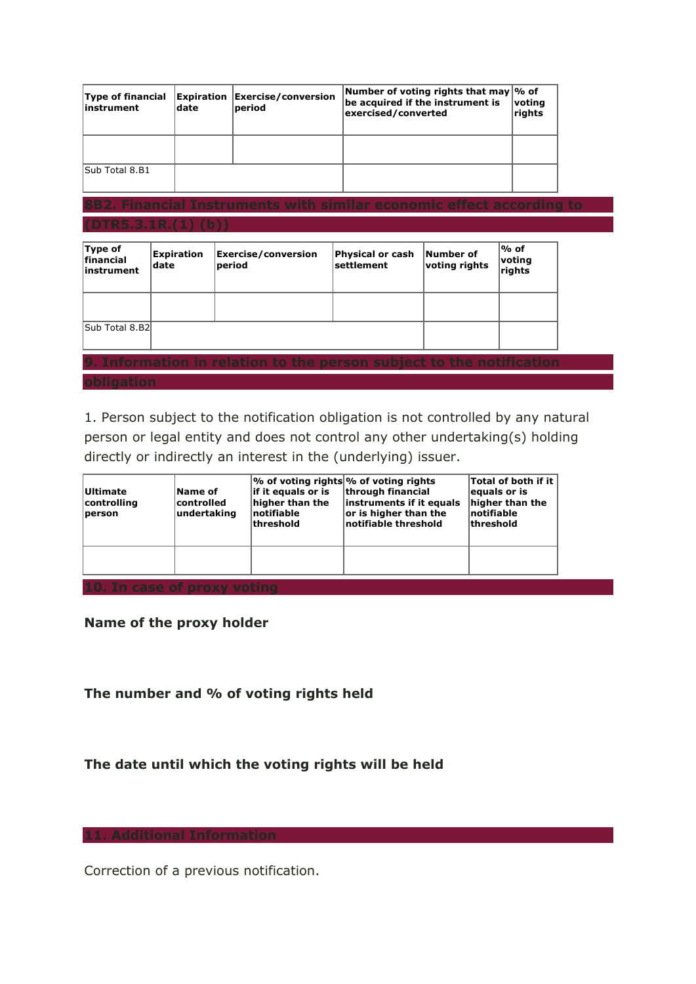| Type of financial<br>linstrument | ldate | <b>Expiration Exercise/conversion</b><br>period | Number of voting rights that may \% of<br>be acquired if the instrument is<br>exercised/converted | voting<br>rights |  |  |
|----------------------------------|-------|-------------------------------------------------|---------------------------------------------------------------------------------------------------|------------------|--|--|
|                                  |       |                                                 |                                                                                                   |                  |  |  |
| Sub Total 8.B1                   |       |                                                 |                                                                                                   |                  |  |  |
|                                  |       |                                                 |                                                                                                   |                  |  |  |

# **8B2. Financial Instruments with similar economic effect according to (DTR5.3.1R.(1) (b))**

| Type of<br><b>financial</b><br>linstrument | Expiration<br> date | <b>Exercise/conversion</b><br>period                                 | Physical or cash<br> settlement | Number of<br>voting rights | $\%$ of<br>voting<br>rights |
|--------------------------------------------|---------------------|----------------------------------------------------------------------|---------------------------------|----------------------------|-----------------------------|
|                                            |                     |                                                                      |                                 |                            |                             |
| Sub Total 8.B2l                            |                     |                                                                      |                                 |                            |                             |
|                                            |                     | 9. Information in relation to the person subject to the notification |                                 |                            |                             |
| <b>abliantion</b>                          |                     |                                                                      |                                 |                            |                             |

1. Person subject to the notification obligation is not controlled by any natural person or legal entity and does not control any other undertaking(s) holding directly or indirectly an interest in the (underlying) issuer.

| <b>Ultimate</b><br>controlling<br>person | Name of<br>controlled<br>undertaking | $\frac{1}{6}$ of voting rights % of voting rights<br>lif it equals or is<br>higher than the<br> notifiable<br><b>threshold</b> | through financial<br>instruments if it equals<br>or is higher than the<br>notifiable threshold | Total of both if it<br>equals or is<br>higher than the<br> notifiable<br>lthreshold |  |  |
|------------------------------------------|--------------------------------------|--------------------------------------------------------------------------------------------------------------------------------|------------------------------------------------------------------------------------------------|-------------------------------------------------------------------------------------|--|--|
|                                          |                                      |                                                                                                                                |                                                                                                |                                                                                     |  |  |
| 10. In case of proxy voting              |                                      |                                                                                                                                |                                                                                                |                                                                                     |  |  |

**Name of the proxy holder**

**The number and % of voting rights held**

# **The date until which the voting rights will be held**

Correction of a previous notification.